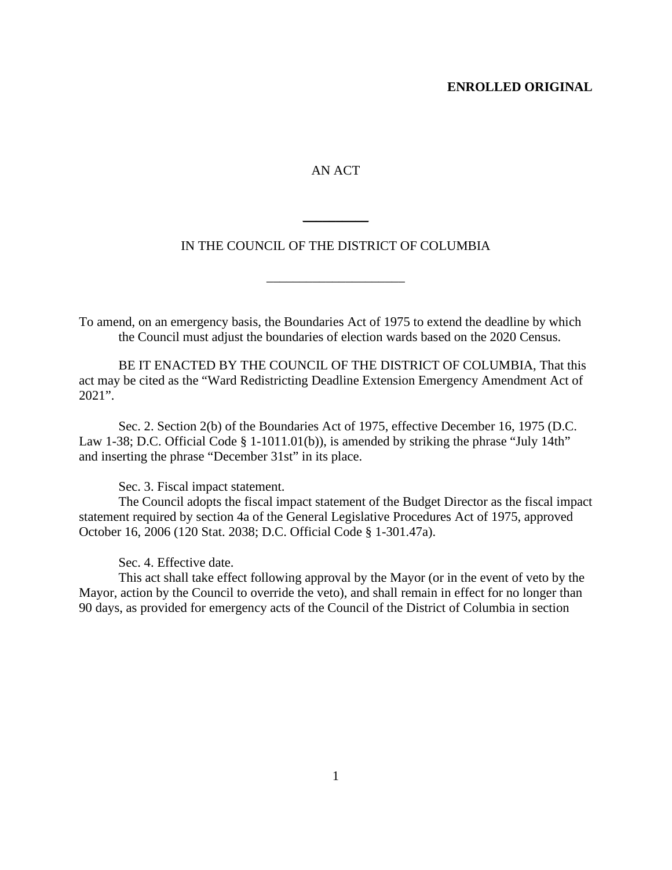## **ENROLLED ORIGINAL**

## AN ACT

## IN THE COUNCIL OF THE DISTRICT OF COLUMBIA

\_\_\_\_\_\_\_\_\_\_\_\_\_\_\_\_\_\_\_\_\_

\_\_\_\_\_\_\_\_\_\_

To amend, on an emergency basis, the Boundaries Act of 1975 to extend the deadline by which the Council must adjust the boundaries of election wards based on the 2020 Census.

BE IT ENACTED BY THE COUNCIL OF THE DISTRICT OF COLUMBIA, That this act may be cited as the "Ward Redistricting Deadline Extension Emergency Amendment Act of 2021".

Sec. 2. Section 2(b) of the Boundaries Act of 1975, effective December 16, 1975 (D.C. Law 1-38; D.C. Official Code § 1-1011.01(b)), is amended by striking the phrase "July 14th" and inserting the phrase "December 31st" in its place.

Sec. 3. Fiscal impact statement.

The Council adopts the fiscal impact statement of the Budget Director as the fiscal impact statement required by section 4a of the General Legislative Procedures Act of 1975, approved October 16, 2006 (120 Stat. 2038; D.C. Official Code § 1-301.47a).

Sec. 4. Effective date.

This act shall take effect following approval by the Mayor (or in the event of veto by the Mayor, action by the Council to override the veto), and shall remain in effect for no longer than 90 days, as provided for emergency acts of the Council of the District of Columbia in section